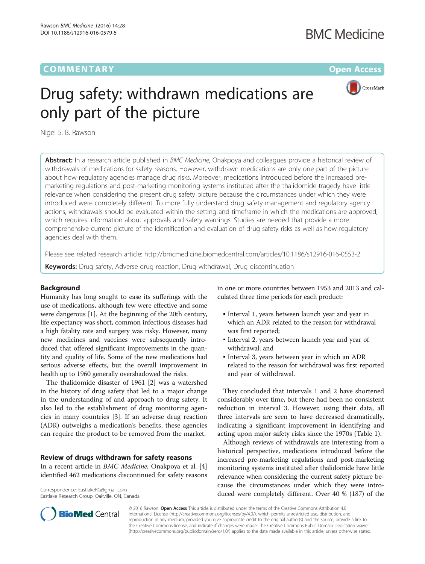## **COMMENTARY** COMMENTARY **COMMENTARY**

# **BMC Medicine**



# Drug safety: withdrawn medications are only part of the picture

Nigel S. B. Rawson

Abstract: In a research article published in BMC Medicine, Onakpoya and colleagues provide a historical review of withdrawals of medications for safety reasons. However, withdrawn medications are only one part of the picture about how regulatory agencies manage drug risks. Moreover, medications introduced before the increased premarketing regulations and post-marketing monitoring systems instituted after the thalidomide tragedy have little relevance when considering the present drug safety picture because the circumstances under which they were introduced were completely different. To more fully understand drug safety management and regulatory agency actions, withdrawals should be evaluated within the setting and timeframe in which the medications are approved, which requires information about approvals and safety warnings. Studies are needed that provide a more comprehensive current picture of the identification and evaluation of drug safety risks as well as how regulatory agencies deal with them.

Please see related research article:<http://bmcmedicine.biomedcentral.com/articles/10.1186/s12916-016-0553-2>

**Keywords:** Drug safety, Adverse drug reaction, Drug withdrawal, Drug discontinuation

#### Background

Humanity has long sought to ease its sufferings with the use of medications, although few were effective and some were dangerous [\[1](#page-2-0)]. At the beginning of the 20th century, life expectancy was short, common infectious diseases had a high fatality rate and surgery was risky. However, many new medicines and vaccines were subsequently introduced that offered significant improvements in the quantity and quality of life. Some of the new medications had serious adverse effects, but the overall improvement in health up to 1960 generally overshadowed the risks.

The thalidomide disaster of 1961 [\[2](#page-2-0)] was a watershed in the history of drug safety that led to a major change in the understanding of and approach to drug safety. It also led to the establishment of drug monitoring agencies in many countries [\[3](#page-2-0)]. If an adverse drug reaction (ADR) outweighs a medication's benefits, these agencies can require the product to be removed from the market.

#### Review of drugs withdrawn for safety reasons

In a recent article in BMC Medicine, Onakpoya et al. [[4](#page-2-0)] identified 462 medications discontinued for safety reasons

Eastlake Research Group, Oakville, ON, Canada

in one or more countries between 1953 and 2013 and calculated three time periods for each product:

- Interval 1, years between launch year and year in which an ADR related to the reason for withdrawal was first reported;
- Interval 2, years between launch year and year of withdrawal; and
- Interval 3, years between year in which an ADR related to the reason for withdrawal was first reported and year of withdrawal.

They concluded that intervals 1 and 2 have shortened considerably over time, but there had been no consistent reduction in interval 3. However, using their data, all three intervals are seen to have decreased dramatically, indicating a significant improvement in identifying and acting upon major safety risks since the 1970s (Table [1\)](#page-1-0).

Although reviews of withdrawals are interesting from a historical perspective, medications introduced before the increased pre-marketing regulations and post-marketing monitoring systems instituted after thalidomide have little relevance when considering the current safety picture because the circumstances under which they were introduced were completely different. Over 40 % (187) of the Correspondence: [EastlakeRG@gmail.com](mailto:EastlakeRG@gmail.com)



© 2016 Rawson. Open Access This article is distributed under the terms of the Creative Commons Attribution 4.0 International License [\(http://creativecommons.org/licenses/by/4.0/](http://creativecommons.org/licenses/by/4.0/)), which permits unrestricted use, distribution, and reproduction in any medium, provided you give appropriate credit to the original author(s) and the source, provide a link to the Creative Commons license, and indicate if changes were made. The Creative Commons Public Domain Dedication waiver [\(http://creativecommons.org/publicdomain/zero/1.0/](http://creativecommons.org/publicdomain/zero/1.0/)) applies to the data made available in this article, unless otherwise stated.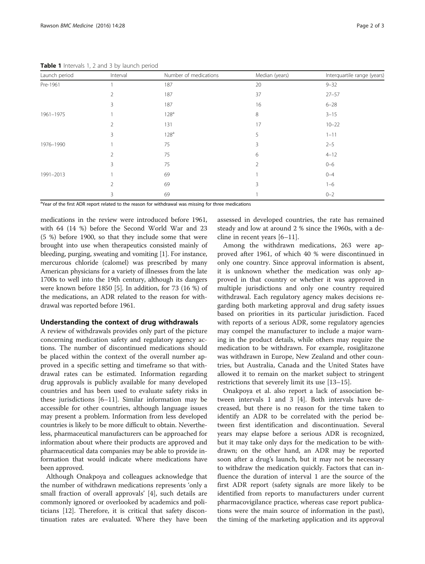| Page 2 |
|--------|
|        |

| Launch period | Interval | Number of medications | Median (years) | Interquartile range (years) |
|---------------|----------|-----------------------|----------------|-----------------------------|
| Pre-1961      |          | 187                   | 20             | $9 - 32$                    |
|               | 2        | 187                   | 37             | $27 - 57$                   |
|               | 3        | 187                   | 16             | $6 - 28$                    |
| 1961-1975     |          | 128 <sup>a</sup>      | 8              | $3 - 15$                    |
|               | 2        | 131                   | 17             | $10 - 22$                   |
|               | 3        | 128 <sup>a</sup>      | 5              | $1 - 11$                    |
| 1976-1990     |          | 75                    | 3              | $2 - 5$                     |
|               | 2        | 75                    | 6              | $4 - 12$                    |
|               | 3        | 75                    | $\overline{2}$ | $0 - 6$                     |
| 1991-2013     |          | 69                    |                | $0 - 4$                     |
|               | 2        | 69                    | 3              | $1 - 6$                     |
|               | 3        | 69                    |                | $0 - 2$                     |

<span id="page-1-0"></span>Table 1 Intervals 1, 2 and 3 by launch period

<sup>a</sup>Year of the first ADR report related to the reason for withdrawal was missing for three medications

medications in the review were introduced before 1961, with 64 (14 %) before the Second World War and 23 (5 %) before 1900, so that they include some that were brought into use when therapeutics consisted mainly of bleeding, purging, sweating and vomiting [[1\]](#page-2-0). For instance, mercurous chloride (calomel) was prescribed by many American physicians for a variety of illnesses from the late 1700s to well into the 19th century, although its dangers were known before 1850 [\[5](#page-2-0)]. In addition, for 73 (16 %) of the medications, an ADR related to the reason for withdrawal was reported before 1961.

#### Understanding the context of drug withdrawals

A review of withdrawals provides only part of the picture concerning medication safety and regulatory agency actions. The number of discontinued medications should be placed within the context of the overall number approved in a specific setting and timeframe so that withdrawal rates can be estimated. Information regarding drug approvals is publicly available for many developed countries and has been used to evaluate safety risks in these jurisdictions [[6](#page-2-0)–[11\]](#page-2-0). Similar information may be accessible for other countries, although language issues may present a problem. Information from less developed countries is likely to be more difficult to obtain. Nevertheless, pharmaceutical manufacturers can be approached for information about where their products are approved and pharmaceutical data companies may be able to provide information that would indicate where medications have been approved.

Although Onakpoya and colleagues acknowledge that the number of withdrawn medications represents 'only a small fraction of overall approvals' [\[4](#page-2-0)], such details are commonly ignored or overlooked by academics and politicians [[12\]](#page-2-0). Therefore, it is critical that safety discontinuation rates are evaluated. Where they have been

assessed in developed countries, the rate has remained steady and low at around 2 % since the 1960s, with a decline in recent years [\[6](#page-2-0)–[11\]](#page-2-0).

Among the withdrawn medications, 263 were approved after 1961, of which 40 % were discontinued in only one country. Since approval information is absent, it is unknown whether the medication was only approved in that country or whether it was approved in multiple jurisdictions and only one country required withdrawal. Each regulatory agency makes decisions regarding both marketing approval and drug safety issues based on priorities in its particular jurisdiction. Faced with reports of a serious ADR, some regulatory agencies may compel the manufacturer to include a major warning in the product details, while others may require the medication to be withdrawn. For example, rosiglitazone was withdrawn in Europe, New Zealand and other countries, but Australia, Canada and the United States have allowed it to remain on the market subject to stringent restrictions that severely limit its use [[13](#page-2-0)–[15](#page-2-0)].

Onakpoya et al. also report a lack of association between intervals 1 and 3 [[4\]](#page-2-0). Both intervals have decreased, but there is no reason for the time taken to identify an ADR to be correlated with the period between first identification and discontinuation. Several years may elapse before a serious ADR is recognized, but it may take only days for the medication to be withdrawn; on the other hand, an ADR may be reported soon after a drug's launch, but it may not be necessary to withdraw the medication quickly. Factors that can influence the duration of interval 1 are the source of the first ADR report (safety signals are more likely to be identified from reports to manufacturers under current pharmacovigilance practice, whereas case report publications were the main source of information in the past), the timing of the marketing application and its approval